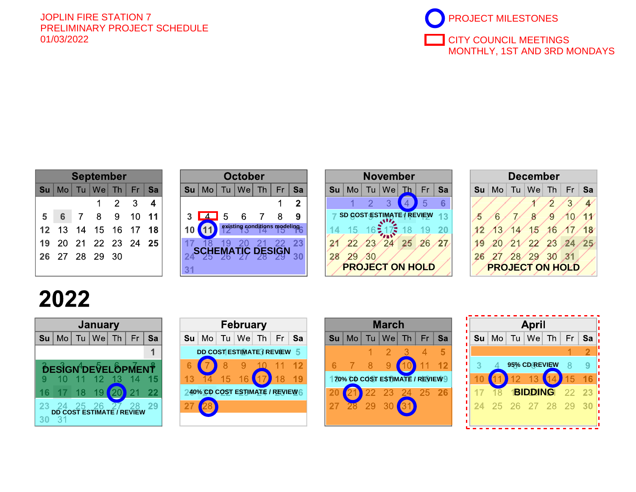## JOPLIN FIRE STATION 7 PRELIMINARY PROJECT SCHEDULE 01/03/2022 PROJECT MILESTONES



| <b>September</b> |   |                |                                      |             |         |                         |  |  |  |  |
|------------------|---|----------------|--------------------------------------|-------------|---------|-------------------------|--|--|--|--|
| Su               |   |                | $\mathsf{Mo}$ Tu $\mathsf{We}$ Th Fr |             |         | Sa                      |  |  |  |  |
|                  |   |                |                                      | $2^{\circ}$ | 3       | $\overline{\mathbf{4}}$ |  |  |  |  |
| 5                | 6 | $\overline{7}$ | 8 <sup>1</sup>                       | 9           | $10$ 11 |                         |  |  |  |  |
|                  |   |                | 12 13 14 15 16 17 18                 |             |         |                         |  |  |  |  |
| 19               |   |                | 20 21 22 23 24 25                    |             |         |                         |  |  |  |  |
|                  |   |                | 26 27 28 29 30                       |             |         |                         |  |  |  |  |
|                  |   |                |                                      |             |         |                         |  |  |  |  |

|   |    |                 | <b>October</b>                                                                                                                                            |                |    |    |    |
|---|----|-----------------|-----------------------------------------------------------------------------------------------------------------------------------------------------------|----------------|----|----|----|
| a | Su | Mo              | $Tu$   We   Th                                                                                                                                            |                | Fr | Sa | Su |
|   |    |                 |                                                                                                                                                           |                |    | 2  |    |
| 1 | 3  | $\boxed{4}$ 5 6 |                                                                                                                                                           | $\overline{7}$ | 8  |    | s  |
| 8 | 10 |                 | existing conditions modeling                                                                                                                              |                |    |    |    |
| 5 |    |                 |                                                                                                                                                           |                |    | 23 |    |
|   |    |                 | $\mathbf{SC}^{\overline{18}}_{\mathbf{29}}$ $^{19}_{\mathbf{29}}$ $^{20}_{\mathbf{29}}$ $^{21}_{\mathbf{28}}$ $^{22}_{\mathbf{29}}$ $^{22}_{\mathbf{29}}$ |                |    | 30 |    |
|   |    |                 |                                                                                                                                                           |                |    |    |    |





## 2022







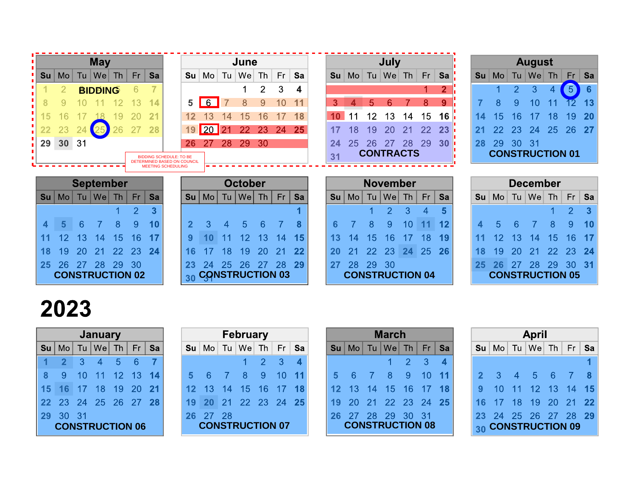|    |                |    | <b>May</b>       |           |                |                                |                             |                        |    | June           |    |     |    |    |    |    | July             |           |           |    |                |                |                | <b>August</b>          |    |                |           |
|----|----------------|----|------------------|-----------|----------------|--------------------------------|-----------------------------|------------------------|----|----------------|----|-----|----|----|----|----|------------------|-----------|-----------|----|----------------|----------------|----------------|------------------------|----|----------------|-----------|
| Su | Mo.            | Tu | $ $ We           | Th        | Fr.            | Sa                             | Su                          | Mo                     | Tu | We             | Th | Fr. | Sa |    | Su | Mo | We<br>Tu         | Th        | Fr.       | Sa | Su             | Mo             | Tu             | $We$ Th                |    | Fr             | Sa        |
|    |                |    | <b>BIDDING</b>   |           | 6              |                                |                             |                        |    |                | 2  | 3   | 4  |    |    |    |                  |           |           | 2  |                |                | $\overline{2}$ | 3                      |    | 5 <sup>1</sup> | 6         |
|    |                |    |                  |           |                | 14                             | 5                           | 6                      |    |                | 9  | 10  | 11 |    | 3  |    | 5                |           | 8         | 9  |                |                | 9              | 10                     |    | 12             |           |
| 15 |                |    |                  |           |                |                                |                             |                        |    |                | 6  |     | 18 |    |    |    | 13               | 14        | 15        | 16 | 14             | 15             | 16             |                        | 8  | 19             | <b>20</b> |
|    |                |    |                  |           |                | 28                             | 19                          | $ 20\rangle$           |    |                | 23 | 24  | 25 | 17 |    | 18 | 20<br>19         | 21        | 22        | 23 | 2 <sup>1</sup> |                | 23             | 24                     | 25 | 26             | -27       |
| 29 | 30             | 31 |                  |           |                |                                | 26                          |                        | 28 | 29             | 30 |     |    | 24 |    | 25 | 26<br>27         | 28        | 29        | 30 | 28             | 29             | 30             | 31                     |    |                |           |
|    |                |    |                  |           |                | <b>BIDDING SCHEDULE: TO BE</b> |                             |                        |    |                |    |     |    | 31 |    |    | <b>CONTRACTS</b> |           |           |    |                |                |                | <b>CONSTRUCTION 01</b> |    |                |           |
|    |                |    |                  |           |                |                                |                             |                        |    |                |    |     |    |    |    |    |                  |           |           |    |                |                |                |                        |    |                |           |
|    |                |    |                  |           |                | <b>MEETING SCHEDULING</b>      | DETERMINED BASED ON COUNCIL |                        |    |                |    |     |    |    |    |    |                  |           |           |    |                |                |                |                        |    |                |           |
|    |                |    | <b>September</b> |           |                |                                |                             |                        |    | <b>October</b> |    |     |    |    |    |    | <b>November</b>  |           |           |    |                |                |                | <b>December</b>        |    |                |           |
| Su | M <sub>o</sub> |    | Tu   We          | <b>Th</b> | Fr             | Sa                             | $\mathsf{S}\mathsf{u}$      | $ $ Mo $ $             |    | Tu   We        | Th | Fr. | Sa |    | Su | Mo | We <br>Tu        | <b>Th</b> | <b>Fr</b> | Sa | Su             | M <sub>O</sub> |                | $Tu$   We              | Th | Fr.            | Sa        |
|    |                |    |                  |           | $\overline{2}$ | 3                              |                             |                        |    |                |    |     |    |    |    |    | $\mathcal{P}$    | 3         | 4         |    |                |                |                |                        |    | $\overline{2}$ | 3         |
| 4  | 5              | 6  |                  | 8         | 9              | 10                             |                             | 3                      | 4  | 5              | 6  |     |    | 6  |    |    | 8<br>9           |           |           | 12 | 4              | 5              | 6              |                        | 8  | 9              | 10        |
| 11 |                |    |                  | 5         | 16             | 17                             | 9                           |                        |    |                |    | 14  | 15 |    |    | IД | 15<br>6          |           | 18        | 19 |                |                |                |                        | 5  | 16             |           |
| 18 | 19             |    |                  |           | 23             | 24                             | 16                          |                        | 18 | 9              |    |     | 22 | 20 |    |    | 23               | 24        | 25        | 26 | 18             | 19             |                |                        |    | 23             | 24        |
| 25 | 26             |    | 28               | 29        | 30             |                                | 23                          | <b>CONSTRUCTION 03</b> | 25 | 26             |    |     | 29 | 27 |    | 28 | 29<br>30         |           |           |    | 25             |                |                |                        | 29 | 30             | -31       |

## 2023

| 12<br>13<br>15<br>16<br>14                     | 13<br>12<br>14<br>15<br>9                     | 18<br>13<br>15<br>16<br>19<br>14                                  | 15<br>16<br><u>'3'</u><br>14                   |
|------------------------------------------------|-----------------------------------------------|-------------------------------------------------------------------|------------------------------------------------|
| <b>22</b><br>23<br>24<br>19<br>18<br>20<br>-21 | 20<br>21<br>22<br>18 <sub>1</sub><br>19<br>16 | 23<br>25<br>26<br><b>22</b><br>24<br>20                           | <b>22</b><br>23<br>19<br>20<br>21<br>-24<br>18 |
| 28<br>29<br>-30<br>25<br>26<br>-27             | 28<br>26<br>29<br>25<br>-27<br>23<br>24       | 29<br>30<br>27<br>28                                              | 29<br>30<br>28<br>31<br>27<br>26               |
| <b>CONSTRUCTION 02</b>                         | <b>CONSTRUCTION 03</b><br>30                  | <b>CONSTRUCTION 04</b>                                            | <b>CONSTRUCTION 05</b>                         |
|                                                |                                               |                                                                   |                                                |
| 2023                                           |                                               |                                                                   |                                                |
|                                                |                                               |                                                                   |                                                |
| January                                        | February                                      | <b>March</b>                                                      | <b>April</b>                                   |
|                                                |                                               |                                                                   |                                                |
| Th<br>Fr.<br>Tu   We <br>Sa<br>Su<br>Mo        | Th<br>Su<br>Tu<br>We<br>Fr<br>Sa<br>Mo        | $Mo$ Tu $ \text{We} $<br>Fr<br>Sa<br>Th<br>$\mathsf{S}\mathsf{u}$ | Su<br>Tu<br>Th<br>Fr.<br>We<br>Sa<br>Mo        |
| 6<br>3<br>$\overline{5}$<br>$\mathbf 2$<br>4   | $\overline{2}$<br>3<br>4                      | $\overline{2}$<br>3<br>4                                          |                                                |
| 12<br>10<br>13<br>9<br>14<br>11                | 10<br>8<br>9<br>6<br>11<br>5.                 | 9<br>8<br>10 <sub>1</sub><br>5.<br>11<br>6.                       | 5<br>$\mathbf{2}$<br>3<br>6<br>8<br>4          |
| 20<br>19<br>21<br>18<br>15<br>16               | 13<br>17<br>18<br>16<br>15<br>14              | 18<br>15<br>13<br>16<br>12<br>14                                  | 13<br>$12 \,$<br>14<br>9<br>15<br>10           |
| 25<br>26<br>27<br>23<br>24<br>28<br>22         | 21<br>22<br>23 24<br>25<br><b>20</b><br>19    | <b>22</b><br>23<br>24<br>25<br>20<br>-21<br>19                    | 20<br>21<br>19<br>22<br>17<br>18<br>16         |
| 30 <sup>°</sup><br>31<br>29                    | 28<br><b>27</b><br>26                         | 28<br>29<br>30<br>-31<br>26<br>-27                                | 28<br>26<br>29<br>24<br>25<br>27<br>23         |
| <b>CONSTRUCTION 06</b>                         | <b>CONSTRUCTION 07</b>                        | <b>CONSTRUCTION 08</b>                                            | 30 CONSTRUCTION 09                             |